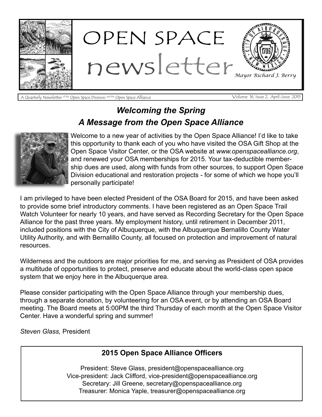

A Quarterly Newsletter <sup>of the</sup> Open Space Division <sup>and the</sup> Open Space Alliance Volume 16, Issue 2, April-June 2015

#### *Welcoming the Spring A Message from the Open Space Alliance*



Welcome to a new year of activities by the Open Space Alliance! I'd like to take this opportunity to thank each of you who have visited the OSA Gift Shop at the Open Space Visitor Center, or the OSA website at *www.openspacealliance.org*, and renewed your OSA memberships for 2015. Your tax-deductible membership dues are used, along with funds from other sources, to support Open Space Division educational and restoration projects - for some of which we hope you'll personally participate!

I am privileged to have been elected President of the OSA Board for 2015, and have been asked to provide some brief introductory comments. I have been registered as an Open Space Trail Watch Volunteer for nearly 10 years, and have served as Recording Secretary for the Open Space Alliance for the past three years. My employment history, until retirement in December 2011, included positions with the City of Albuquerque, with the Albuquerque Bernalillo County Water Utility Authority, and with Bernalillo County, all focused on protection and improvement of natural resources.

Wilderness and the outdoors are major priorities for me, and serving as President of OSA provides a multitude of opportunities to protect, preserve and educate about the world-class open space system that we enjoy here in the Albuquerque area.

Please consider participating with the Open Space Alliance through your membership dues, through a separate donation, by volunteering for an OSA event, or by attending an OSA Board meeting. The Board meets at 5:00PM the third Thursday of each month at the Open Space Visitor Center. Have a wonderful spring and summer!

*Steven Glass,* President

#### **2015 Open Space Alliance Officers**

President: Steve Glass, president@openspacealliance.org Vice-president: Jack Clifford, vice-president@openspacealliance.org Secretary: Jill Greene, secretary@openspacealliance.org Treasurer: Monica Yaple, treasurer@openspacealliance.org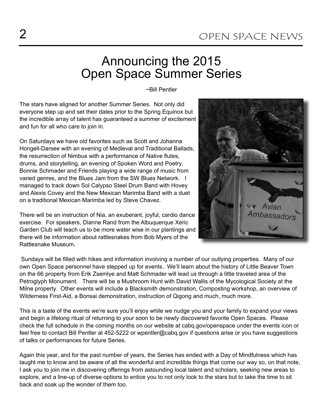## Announcing the 2015 Open Space Summer Series

~Bill Pentler

The stars have aligned for another Summer Series. Not only did everyone step up and set their dates prior to the Spring Equinox but the incredible array of talent has guaranteed a summer of excitement and fun for all who care to join in.

On Saturdays we have old favorites such as Scott and Johanna Hongell-Darsee with an evening of Medieval and Traditional Ballads, the resurrection of Nimbus with a performance of Native flutes, drums, and storytelling, an evening of Spoken Word and Poetry, Bonnie Schmader and Friends playing a wide range of music from varied genres, and the Blues Jam from the SW Blues Network. I managed to track down Sol Calypso Steel Drum Band with Hovey and Alexis Covey and the New Mexican Marimba Band with a duet on a traditional Mexican Marimba led by Steve Chavez.

There will be an instruction of Nia, an exuberant, joyful, cardio dance exercise. For speakers, Dianne Rand from the Albuquerque Xeric Garden Club will teach us to be more water wise in our plantings and there will be information about rattlesnakes from Bob Myers of the Rattlesnake Museum.

Avian Ambassadors

Sundays will be filled with hikes and information involving a number of our outlying properties. Many of our own Open Space personnel have stepped up for events. We'll learn about the history of Little Beaver Town on the 66 property from Erik Zsemlye and Matt Schmader will lead us through a little traveled area of the Petroglyph Monument. There will be a Mushroom Hunt with David Wallis of the Mycological Society at the Milne property. Other events will include a Blacksmith demonstration, Composting workshop, an overview of Wilderness First-Aid, a Bonsai demonstration, instruction of Qigong and much, much more.

This is a taste of the events we're sure you'll enjoy while we nudge you and your family to expand your views and begin a lifelong ritual of returning to your soon to be newly discovered favorite Open Spaces. Please check the full schedule in the coming months on our website at cabq.gov/openspace under the events icon or feel free to contact Bill Pentler at 452-5222 or wpentler@cabq.gov if questions arise or you have suggestions of talks or performances for future Series.

Again this year, and for the past number of years, the Series has ended with a Day of Mindfulness which has taught me to know and be aware of all the wonderful and incredible things that come our way so, on that note, I ask you to join me in discovering offerings from astounding local talent and scholars, seeking new areas to explore, and a line-up of diverse options to entice you to not only look to the stars but to take the time to sit back and soak up the wonder of them too.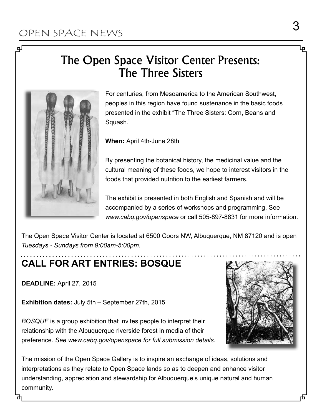பு

## The Open Space Visitor Center Presents: The Three Sisters



For centuries, from Mesoamerica to the American Southwest, peoples in this region have found sustenance in the basic foods presented in the exhibit "The Three Sisters: Corn, Beans and Squash."

**When:** April 4th-June 28th

By presenting the botanical history, the medicinal value and the cultural meaning of these foods, we hope to interest visitors in the foods that provided nutrition to the earliest farmers.

The exhibit is presented in both English and Spanish and will be accompanied by a series of workshops and programming. See *www.cabq.gov/openspace* or call 505-897-8831 for more information.

The Open Space Visitor Center is located at 6500 Coors NW, Albuquerque, NM 87120 and is open *Tuesdays - Sundays from 9:00am-5:00pm.* 

#### **CALL FOR ART ENTRIES: BOSQUE**

**DEADLINE:** April 27, 2015

**Exhibition dates:** July 5th – September 27th, 2015

*BOSQUE* is a group exhibition that invites people to interpret their relationship with the Albuquerque riverside forest in media of their preference. *See www.cabq.gov/openspace for full submission details.* 



The mission of the Open Space Gallery is to inspire an exchange of ideas, solutions and interpretations as they relate to Open Space lands so as to deepen and enhance visitor understanding, appreciation and stewardship for Albuquerque's unique natural and human community.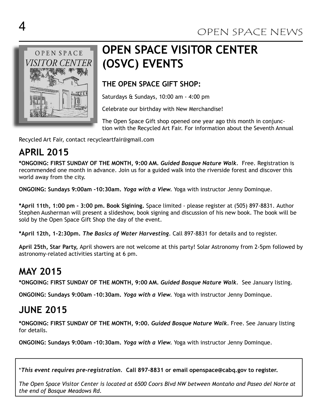

## **OPEN SPACE VISITOR CENTER (OSVC) EVENTS**

#### **THE OPEN SPACE GIFT SHOP:**

Saturdays & Sundays, 10:00 am - 4:00 pm

Celebrate our birthday with New Merchandise!

The Open Space Gift shop opened one year ago this month in conjunction with the Recycled Art Fair. For information about the Seventh Annual

Recycled Art Fair, contact recycleartfair@gmail.com

#### **APRIL 2015**

**\*ONGOING: FIRST SUNDAY OF THE MONTH, 9:00 AM.** *Guided Bosque Nature Walk.* Free. Registration is recommended one month in advance. Join us for a guided walk into the riverside forest and discover this world away from the city.

**ONGOING: Sundays 9:00am -10:30am.** *Yoga with a View.* Yoga with instructor Jenny Dominque.

**\*April 11th, 1:00 pm - 3:00 pm. Book Sigining.** Space limited - please register at (505) 897-8831. Author Stephen Ausherman will present a slideshow, book signing and discussion of his new book. The book will be sold by the Open Space Gift Shop the day of the event.

**\*April 12th, 1-2:30pm.** *The Basics of Water Harvesting*. Call 897-8831 for details and to register.

**April 25th, Star Party,** April showers are not welcome at this party! Solar Astronomy from 2-5pm followed by astronomy-related activities starting at 6 pm.

#### **MAY 2015**

**\*ONGOING: FIRST SUNDAY OF THE MONTH, 9:00 AM.** *Guided Bosque Nature Walk.* See January listing.

**ONGOING: Sundays 9:00am -10:30am.** *Yoga with a View.* Yoga with instructor Jenny Dominque.

#### **JUNE 2015**

**\*ONGOING: FIRST SUNDAY OF THE MONTH, 9:00.** *Guided Bosque Nature Walk.* Free. See January listing for details.

**ONGOING: Sundays 9:00am -10:30am.** *Yoga with a View.* Yoga with instructor Jenny Dominque.

\**This event requires pre-registration.* **Call 897-8831 or email openspace@cabq.gov to register.** 

*The Open Space Visitor Center is located at 6500 Coors Blvd NW between Montaño and Paseo del Norte at the end of Bosque Meadows Rd.*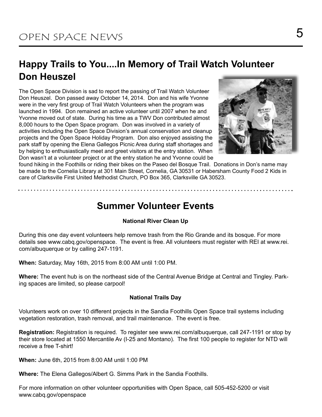#### **Happy Trails to You....In Memory of Trail Watch Volunteer Don Heuszel**

The Open Space Division is sad to report the passing of Trail Watch Volunteer Don Heuszel. Don passed away October 14, 2014. Don and his wife Yvonne were in the very first group of Trail Watch Volunteers when the program was launched in 1994. Don remained an active volunteer until 2007 when he and Yvonne moved out of state. During his time as a TWV Don contributed almost 8,000 hours to the Open Space program. Don was involved in a variety of activities including the Open Space Division's annual conservation and cleanup projects and the Open Space Holiday Program. Don also enjoyed assisting the park staff by opening the Elena Gallegos Picnic Area during staff shortages and by helping to enthusiastically meet and greet visitors at the entry station. When Don wasn't at a volunteer project or at the entry station he and Yvonne could be



found hiking in the Foothills or riding their bikes on the Paseo del Bosque Trail. Donations in Don's name may be made to the Cornelia Library at 301 Main Street, Cornelia, GA 30531 or Habersham County Food 2 Kids in care of Clarksville First United Methodist Church, PO Box 365, Clarksville GA 30523.

#### **Summer Volunteer Events**

#### **National River Clean Up**

During this one day event volunteers help remove trash from the Rio Grande and its bosque. For more details see www.cabq.gov/openspace. The event is free. All volunteers must register with REI at www.rei. com/albuquerque or by calling 247-1191.

**When:** Saturday, May 16th, 2015 from 8:00 AM until 1:00 PM.

**Where:** The event hub is on the northeast side of the Central Avenue Bridge at Central and Tingley. Parking spaces are limited, so please carpool!

#### **National Trails Day**

Volunteers work on over 10 different projects in the Sandia Foothills Open Space trail systems including vegetation restoration, trash removal, and trail maintenance. The event is free.

**Registration:** Registration is required. To register see www.rei.com/albuquerque, call 247-1191 or stop by their store located at 1550 Mercantile Av (I-25 and Montano). The first 100 people to register for NTD will receive a free T-shirt!

**When:** June 6th, 2015 from 8:00 AM until 1:00 PM

**Where:** The Elena Gallegos/Albert G. Simms Park in the Sandia Foothills.

For more information on other volunteer opportunities with Open Space, call 505-452-5200 or visit www.cabq.gov/openspace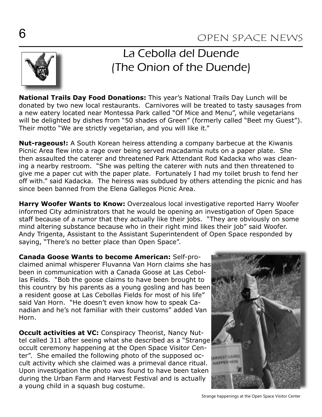

## La Cebolla del Duende (The Onion of the Duende)

**National Trails Day Food Donations:** This year's National Trails Day Lunch will be donated by two new local restaurants. Carnivores will be treated to tasty sausages from a new eatery located near Montessa Park called "Of Mice and Menu", while vegetarians will be delighted by dishes from "50 shades of Green" (formerly called "Beet my Guest"). Their motto "We are strictly vegetarian, and you will like it."

**Nut-rageous!:** A South Korean heiress attending a company barbecue at the Kiwanis Picnic Area flew into a rage over being served macadamia nuts on a paper plate. She then assaulted the caterer and threatened Park Attendant Rod Kadacka who was cleaning a nearby restroom. "She was pelting the caterer with nuts and then threatened to give me a paper cut with the paper plate. Fortunately I had my toilet brush to fend her off with." said Kadacka. The heiress was subdued by others attending the picnic and has since been banned from the Elena Gallegos Picnic Area.

**Harry Woofer Wants to Know:** Overzealous local investigative reported Harry Woofer informed City administrators that he would be opening an investigation of Open Space staff because of a rumor that they actually like their jobs. "They are obviously on some mind altering substance because who in their right mind likes their job" said Woofer. Andy Trigenta, Assistant to the Assistant Superintendent of Open Space responded by saying, "There's no better place than Open Space".

**Canada Goose Wants to become American:** Self-proclaimed animal whisperer Fluvanna Van Horn claims she has been in communication with a Canada Goose at Las Cebollas Fields. "Bob the goose claims to have been brought to this country by his parents as a young gosling and has been a resident goose at Las Cebollas Fields for most of his life" said Van Horn. "He doesn't even know how to speak Canadian and he's not familiar with their customs" added Van Horn.

**Occult activities at VC:** Conspiracy Theorist, Nancy Nuttel called 311 after seeing what she described as a "Strange occult ceremony happening at the Open Space Visitor Center". She emailed the following photo of the supposed occult activity which she claimed was a primeval dance ritual. Upon investigation the photo was found to have been taken during the Urban Farm and Harvest Festival and is actually a young child in a squash bug costume.



Strange happenings at the Open Space Visitor Center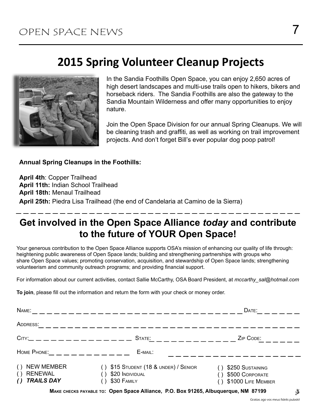### **2015 Spring Volunteer Cleanup Projects**



In the Sandia Foothills Open Space, you can enjoy 2,650 acres of high desert landscapes and multi-use trails open to hikers, bikers and horseback riders. The Sandia Foothills are also the gateway to the Sandia Mountain Wilderness and offer many opportunities to enjoy nature.

Join the Open Space Division for our annual Spring Cleanups. We will be cleaning trash and graffiti, as well as working on trail improvement projects. And don't forget Bill's ever popular dog poop patrol!

#### **Annual Spring Cleanups in the Foothills:**

**April 4th**: Copper Trailhead **April 11th:** Indian School Trailhead **April 18th:** Menaul Trailhead **April 25th:** Piedra Lisa Trailhead (the end of Candelaria at Camino de la Sierra)

#### **Get involved in the Open Space Alliance** *today* **and contribute to the future of YOUR Open Space!**

Your generous contribution to the Open Space Alliance supports OSA's mission of enhancing our quality of life through: heightening public awareness of Open Space lands; building and strengthening partnerships with groups who share Open Space values; promoting conservation, acquisition, and stewardship of Open Space lands; strengthening volunteerism and community outreach programs; and providing financial support.

For information about our current activities, contact Sallie McCarthy, OSA Board President, at *mccarthy\_sal@hotmail.com* 

To join, please fill out the information and return the form with your check or money order.

| NAME:                                                                              |                                                                            | DATE:                                                     |   |
|------------------------------------------------------------------------------------|----------------------------------------------------------------------------|-----------------------------------------------------------|---|
| ADDRESS:                                                                           |                                                                            |                                                           |   |
| $C$ ITY: _ _ _ _ _ _ _ _ _ _ _ _ _ _ _ _                                           | STATE:<br>__________                                                       | ZIP CODE:                                                 |   |
|                                                                                    | E-MAIL:                                                                    |                                                           |   |
| () NEW MEMBER<br>() RENEWAL<br><b>TRAILS DAY</b><br>$\left( \right)$               | $( )$ \$15 Student (18 & under) / Senior<br>\$20 INDIVIDUAL<br>\$30 FAMILY | \$250 SUSTAINING<br>\$500 CORPORATE<br>\$1000 LIFE MEMBER |   |
| MAKE CHECKS PAYABLE TO: Open Space Alliance, P.O. Box 91265, Albuquerque, NM 87199 |                                                                            |                                                           | Ž |